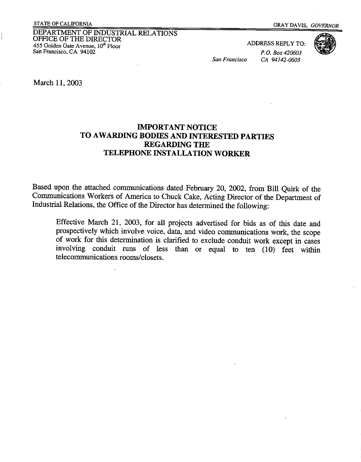DEPARTMENT OF INDUSTRIAL RELATIONS OFFICE OF THE DIRECTOR 455 Golden Gate Avenue,  $10^{th}$  Floor San Francisco, CA 94102

ADDRESS REPLY TO:

*P.O. Box420603* 

*San Francisco CA 94142-0603* 



March 11, 2003

## **IMPORTANT NOTICE TO AWARDING BODIES AND INTERESTED PARTIES REGARDING THE TELEPHONE INSTALLATION WORKER**

Based upon the attached communications dated February 20, 2002, from Bill Quirk of the Communications Workers of America to Chuck Cake, Acting Director of the Department of Industrial Relations, the Office of the Director has determined the following:

Effective March 21, 2003, for all projects advertised for bids as of this date and prospectively which involve voice, data, and video communications work, the scope of work for this determination is clarified to exclude conduit work except in cases involving conduit runs of less than or equal to ten (10) feet within telecommunications rooms/closets.